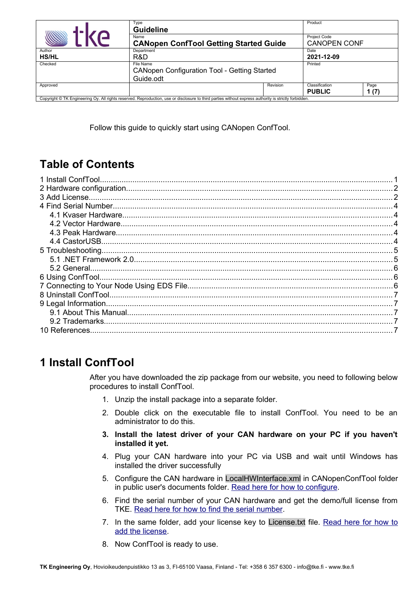|                                                                                                                                                       | Type<br><b>Guideline</b>                              |          | Product                                    |              |
|-------------------------------------------------------------------------------------------------------------------------------------------------------|-------------------------------------------------------|----------|--------------------------------------------|--------------|
|                                                                                                                                                       | Name<br><b>CANopen ConfTool Getting Started Guide</b> |          | <b>Project Code</b><br><b>CANOPEN CONF</b> |              |
| Author                                                                                                                                                | Department                                            |          | Date                                       |              |
| <b>HS/HL</b>                                                                                                                                          | R&D                                                   |          | 2021-12-09                                 |              |
| Checked                                                                                                                                               | File Name                                             |          | Printed                                    |              |
|                                                                                                                                                       | <b>CANopen Configuration Tool - Getting Started</b>   |          |                                            |              |
|                                                                                                                                                       | Guide.odt                                             |          |                                            |              |
| Approved                                                                                                                                              |                                                       | Revision | Classification<br><b>PUBLIC</b>            | Page<br>1(7) |
| Copyright © TK Engineering Oy. All rights reserved. Reproduction, use or disclosure to third parties without express authority is strictly forbidden. |                                                       |          |                                            |              |

Follow this guide to quickly start using CANopen ConfTool.

# **Table of Contents**

# <span id="page-0-0"></span>**1 Install ConfTool**

After you have downloaded the zip package from our website, you need to following below procedures to install ConfTool.

- 1. Unzip the install package into a separate folder.
- 2. Double click on the executable file to install ConfTool. You need to be an administrator to do this.
- **3. Install the latest driver of your CAN hardware on your PC if you haven't installed it yet.**
- 4. Plug your CAN hardware into your PC via USB and wait until Windows has installed the driver successfully
- 5. Configure the CAN hardware in LocalHWInterface.xml in CANopenConfTool folder in public user's documents folder. [Read here for how to configure.](#page-1-1)
- 6. Find the serial number of your CAN hardware and get the demo/full license from TKE. [Read here for how to find the serial number.](#page-3-4)
- 7. In the same folder, add your license key to License.txt file. [Read here for how to](#page-1-0) [add the license.](#page-1-0)
- 8. Now ConfTool is ready to use.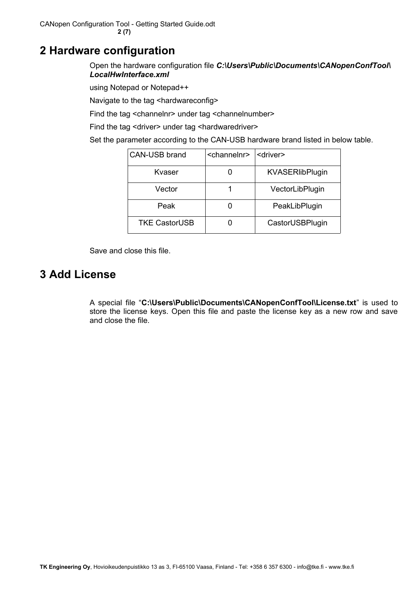CANopen Configuration Tool - Getting Started Guide.odt **2 (7)**

### <span id="page-1-1"></span>**2 Hardware configuration**

Open the hardware configuration file *C:\Users\Public\Documents\CANopenConfTool\ LocalHwInterface.xml*

using Notepad or Notepad++

Navigate to the tag <hardwareconfig>

Find the tag <channelnr> under tag <channelnumber>

Find the tag <driver> under tag <hardwaredriver>

Set the parameter according to the CAN-USB hardware brand listed in below table.

| <b>CAN-USB brand</b> | <channelnr></channelnr> | <driver></driver>      |
|----------------------|-------------------------|------------------------|
| Kvaser               |                         | <b>KVASERlibPlugin</b> |
| Vector               |                         | VectorLibPlugin        |
| Peak                 |                         | PeakLibPlugin          |
| <b>TKE CastorUSB</b> |                         | CastorUSBPlugin        |

Save and close this file.

# <span id="page-1-0"></span>**3 Add License**

A special file "**C:\Users\Public\Documents\CANopenConfTool\License.txt**" is used to store the license keys. Open this file and paste the license key as a new row and save and close the file.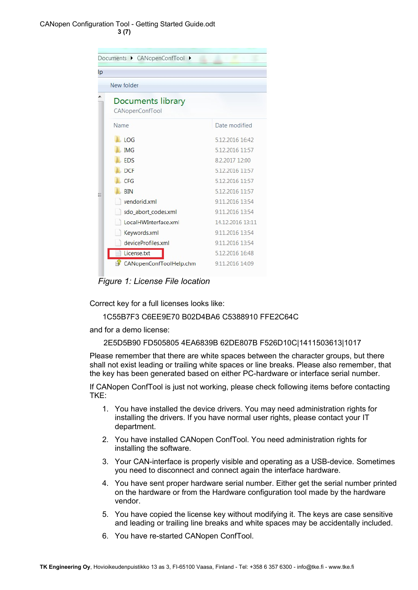#### CANopen Configuration Tool - Getting Started Guide.odt **3 (7)**



*Figure 1: License File location*

Correct key for a full licenses looks like:

1C55B7F3 C6EE9E70 B02D4BA6 C5388910 FFE2C64C

and for a demo license:

2E5D5B90 FD505805 4EA6839B 62DE807B F526D10C|1411503613|1017

Please remember that there are white spaces between the character groups, but there shall not exist leading or trailing white spaces or line breaks. Please also remember, that the key has been generated based on either PC-hardware or interface serial number.

If CANopen ConfTool is just not working, please check following items before contacting TKE:

- 1. You have installed the device drivers. You may need administration rights for installing the drivers. If you have normal user rights, please contact your IT department.
- 2. You have installed CANopen ConfTool. You need administration rights for installing the software.
- 3. Your CAN-interface is properly visible and operating as a USB-device. Sometimes you need to disconnect and connect again the interface hardware.
- 4. You have sent proper hardware serial number. Either get the serial number printed on the hardware or from the Hardware configuration tool made by the hardware vendor.
- 5. You have copied the license key without modifying it. The keys are case sensitive and leading or trailing line breaks and white spaces may be accidentally included.
- 6. You have re-started CANopen ConfTool.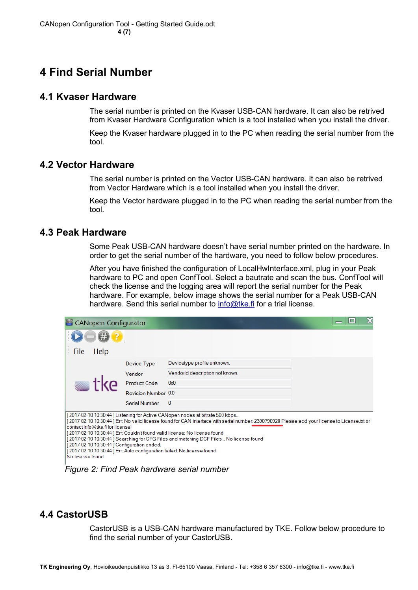# <span id="page-3-4"></span>**4 Find Serial Number**

### <span id="page-3-3"></span>**4.1 Kvaser Hardware**

The serial number is printed on the Kvaser USB-CAN hardware. It can also be retrived from Kvaser Hardware Configuration which is a tool installed when you install the driver.

Keep the Kvaser hardware plugged in to the PC when reading the serial number from the tool.

### <span id="page-3-2"></span>**4.2 Vector Hardware**

The serial number is printed on the Vector USB-CAN hardware. It can also be retrived from Vector Hardware which is a tool installed when you install the driver.

Keep the Vector hardware plugged in to the PC when reading the serial number from the tool.

#### <span id="page-3-1"></span>**4.3 Peak Hardware**

Some Peak USB-CAN hardware doesn't have serial number printed on the hardware. In order to get the serial number of the hardware, you need to follow below procedures.

After you have finished the configuration of LocalHwInterface.xml, plug in your Peak hardware to PC and open ConfTool. Select a bautrate and scan the bus. ConfTool will check the license and the logging area will report the serial number for the Peak hardware. For example, below image shows the serial number for a Peak USB-CAN hardware. Send this serial number to [info@tke.fi](mailto:info@tke.fi) for a trial license.

| CANopen Configurator                                                                                                                                                          |                      |                                                                                                                                                                                                                                                                                                                                                                                                      | X |
|-------------------------------------------------------------------------------------------------------------------------------------------------------------------------------|----------------------|------------------------------------------------------------------------------------------------------------------------------------------------------------------------------------------------------------------------------------------------------------------------------------------------------------------------------------------------------------------------------------------------------|---|
|                                                                                                                                                                               |                      |                                                                                                                                                                                                                                                                                                                                                                                                      |   |
| File<br>Help                                                                                                                                                                  |                      |                                                                                                                                                                                                                                                                                                                                                                                                      |   |
|                                                                                                                                                                               | <b>Device Type</b>   | Devicetype profile unknown.                                                                                                                                                                                                                                                                                                                                                                          |   |
|                                                                                                                                                                               | Vendor               | Vendorld description not known.                                                                                                                                                                                                                                                                                                                                                                      |   |
|                                                                                                                                                                               | <b>Product Code</b>  | 0x0                                                                                                                                                                                                                                                                                                                                                                                                  |   |
|                                                                                                                                                                               | Revision Number 0.0  |                                                                                                                                                                                                                                                                                                                                                                                                      |   |
|                                                                                                                                                                               | <b>Serial Number</b> | $\mathbf{0}$                                                                                                                                                                                                                                                                                                                                                                                         |   |
| contact info@tke.fi for license!<br>[2017-02-10 10:30:44] Configuration ended.<br>[2017-02-10 10:30:44] Err: Auto configuration failed. No license found<br>INo license found |                      | [2017-02-10 10:30:44] Listening for Active CANopen nodes at bitrate 500 kbps<br>[2017-02-10 10:30:44] Err: No valid license found for CAN-interface with serial number: 2390790920 Please add your license to License.txt or<br>[2017-02-10 10:30:44] Err: Couldn't found valid license: No license found<br>[ 2017-02-10 10:30:44 ] Searching for CFG Files and matching DCF Files No license found |   |

*Figure 2: Find Peak hardware serial number*

### <span id="page-3-0"></span>**4.4 CastorUSB**

CastorUSB is a USB-CAN hardware manufactured by TKE. Follow below procedure to find the serial number of your CastorUSB.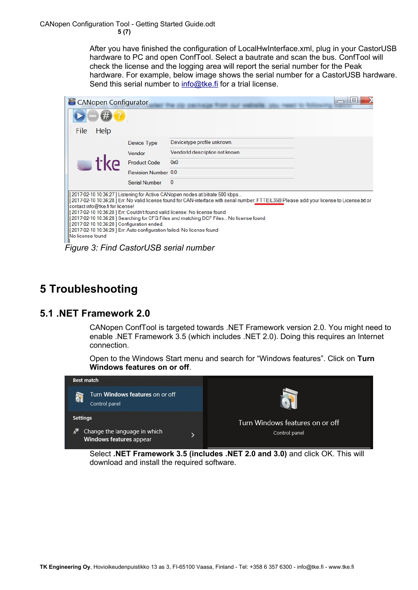After you have finished the configuration of LocalHwInterface.xml, plug in your CastorUSB hardware to PC and open ConfTool. Select a bautrate and scan the bus. ConfTool will check the license and the logging area will report the serial number for the Peak hardware. For example, below image shows the serial number for a CastorUSB hardware. Send this serial number to [info@tke.fi](mailto:info@tke.fi) for a trial license.

| <b>CANopen Configurator</b>                                                                                                                                                  |                      |                                                                                                                                                                                                                                                                                                                                                                                                   |  |
|------------------------------------------------------------------------------------------------------------------------------------------------------------------------------|----------------------|---------------------------------------------------------------------------------------------------------------------------------------------------------------------------------------------------------------------------------------------------------------------------------------------------------------------------------------------------------------------------------------------------|--|
|                                                                                                                                                                              |                      |                                                                                                                                                                                                                                                                                                                                                                                                   |  |
| Help<br>File                                                                                                                                                                 |                      |                                                                                                                                                                                                                                                                                                                                                                                                   |  |
|                                                                                                                                                                              | <b>Device Type</b>   | Devicetype profile unknown.                                                                                                                                                                                                                                                                                                                                                                       |  |
|                                                                                                                                                                              | Vendor               | Vendorld description not known.                                                                                                                                                                                                                                                                                                                                                                   |  |
|                                                                                                                                                                              | <b>Product Code</b>  | 0x0                                                                                                                                                                                                                                                                                                                                                                                               |  |
|                                                                                                                                                                              | Revision Number 0.0  |                                                                                                                                                                                                                                                                                                                                                                                                   |  |
|                                                                                                                                                                              | <b>Serial Number</b> | $\mathbf{0}$                                                                                                                                                                                                                                                                                                                                                                                      |  |
| contact info@tke.fi for license!<br>2017-02-10 10:36:28   Configuration ended.<br>2017-02-10 10:36:29 ] Err: Auto configuration failed. No license found<br>No license found |                      | 2017-02-10 10:36:27 ] Listening for Active CANopen nodes at bitrate 500 kbps<br>2017-02-10 10:36:28 ] Err: No valid license found for CAN-interface with serial number: FTTEIL35B Please add your license to License.txt or<br>2017-02-10 10:36:28 ] Err: Couldn't found valid license: No license found<br>2017-02-10 10:36:28 ] Searching for CFG Files and matching DCF Files No license found |  |

*Figure 3: Find CastorUSB serial number*

# <span id="page-4-1"></span>**5 Troubleshooting**

### <span id="page-4-0"></span>**5.1 .NET Framework 2.0**

CANopen ConfTool is targeted towards .NET Framework version 2.0. You might need to enable .NET Framework 3.5 (which includes .NET 2.0). Doing this requires an Internet connection.

Open to the Windows Start menu and search for "Windows features". Click on **Turn Windows features on or off**.



Select **.NET Framework 3.5 (includes .NET 2.0 and 3.0)** and click OK. This will download and install the required software.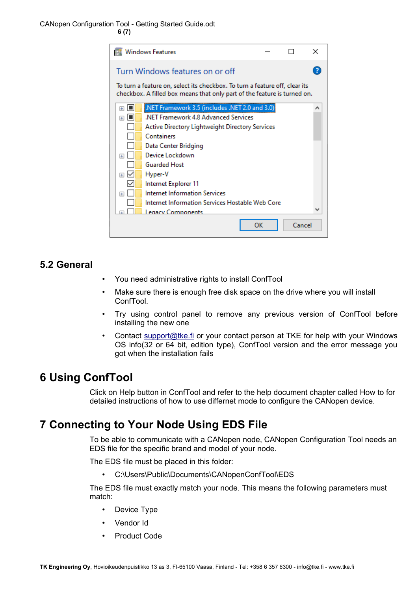CANopen Configuration Tool - Getting Started Guide.odt **6 (7)**

|                                                                                                                                                         | <b>Windows Features</b>                         |    |        | × |  |
|---------------------------------------------------------------------------------------------------------------------------------------------------------|-------------------------------------------------|----|--------|---|--|
|                                                                                                                                                         | Turn Windows features on or off                 |    |        |   |  |
| To turn a feature on, select its checkbox. To turn a feature off, clear its<br>checkbox. A filled box means that only part of the feature is turned on. |                                                 |    |        |   |  |
| Т<br>$\mathbf{F}$                                                                                                                                       | NET Framework 3.5 (includes .NET 2.0 and 3.0).  |    |        | ́ |  |
| $\overline{+}$<br>ıш                                                                                                                                    | .NET Framework 4.8 Advanced Services            |    |        |   |  |
|                                                                                                                                                         | Active Directory Lightweight Directory Services |    |        |   |  |
|                                                                                                                                                         | Containers                                      |    |        |   |  |
|                                                                                                                                                         | Data Center Bridging                            |    |        |   |  |
| Œ                                                                                                                                                       | Device Lockdown                                 |    |        |   |  |
|                                                                                                                                                         | <b>Guarded Host</b>                             |    |        |   |  |
| $+$                                                                                                                                                     | Hyper-V                                         |    |        |   |  |
|                                                                                                                                                         | Internet Explorer 11                            |    |        |   |  |
| Œ                                                                                                                                                       | Internet Information Services                   |    |        |   |  |
|                                                                                                                                                         | Internet Information Services Hostable Web Core |    |        |   |  |
|                                                                                                                                                         | Legacy Components                               |    |        |   |  |
|                                                                                                                                                         |                                                 | ок | Cancel |   |  |

### <span id="page-5-2"></span>**5.2 General**

- You need administrative rights to install ConfTool
- Make sure there is enough free disk space on the drive where you will install ConfTool.
- Try using control panel to remove any previous version of ConfTool before installing the new one
- Contact [support@tke.fi](mailto:support@tke.fi) or your contact person at TKE for help with your Windows OS info(32 or 64 bit, edition type), ConfTool version and the error message you got when the installation fails

### <span id="page-5-1"></span>**6 Using ConfTool**

Click on Help button in ConfTool and refer to the help document chapter called How to for detailed instructions of how to use differnet mode to configure the CANopen device.

### <span id="page-5-0"></span>**7 Connecting to Your Node Using EDS File**

To be able to communicate with a CANopen node, CANopen Configuration Tool needs an EDS file for the specific brand and model of your node.

The EDS file must be placed in this folder:

• C:\Users\Public\Documents\CANopenConfTool\EDS

The EDS file must exactly match your node. This means the following parameters must match:

- Device Type
- Vendor Id
- Product Code